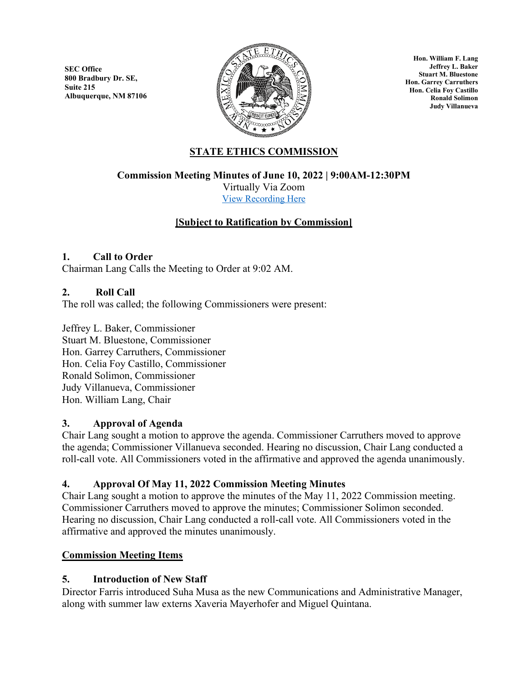**SEC Office 800 Bradbury Dr. SE, Suite 215 Albuquerque, NM 87106**



**Hon. William F. Lang Jeffrey L. Baker Stuart M. Bluestone Hon. Garrey Carruthers Hon. Celia Foy Castillo Ronald Solimon Judy Villanueva**

# **STATE ETHICS COMMISSION**

**Commission Meeting Minutes of June 10, 2022 | 9:00AM-12:30PM**

Virtually Via Zoom [View Recording Here](https://youtu.be/VGx63BJg5qs)

# **[Subject to Ratification by Commission]**

# **1. Call to Order**

Chairman Lang Calls the Meeting to Order at 9:02 AM.

### **2. Roll Call**

The roll was called; the following Commissioners were present:

Jeffrey L. Baker, Commissioner Stuart M. Bluestone, Commissioner Hon. Garrey Carruthers, Commissioner Hon. Celia Foy Castillo, Commissioner Ronald Solimon, Commissioner Judy Villanueva, Commissioner Hon. William Lang, Chair

# **3. Approval of Agenda**

Chair Lang sought a motion to approve the agenda. Commissioner Carruthers moved to approve the agenda; Commissioner Villanueva seconded. Hearing no discussion, Chair Lang conducted a roll-call vote. All Commissioners voted in the affirmative and approved the agenda unanimously.

# **4. Approval Of May 11, 2022 Commission Meeting Minutes**

Chair Lang sought a motion to approve the minutes of the May 11, 2022 Commission meeting. Commissioner Carruthers moved to approve the minutes; Commissioner Solimon seconded. Hearing no discussion, Chair Lang conducted a roll-call vote. All Commissioners voted in the affirmative and approved the minutes unanimously.

# **Commission Meeting Items**

# **5. Introduction of New Staff**

Director Farris introduced Suha Musa as the new Communications and Administrative Manager, along with summer law externs Xaveria Mayerhofer and Miguel Quintana.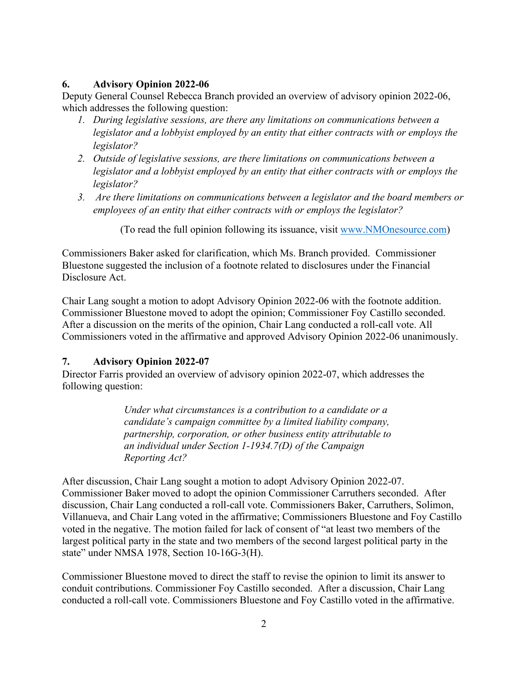# **6. Advisory Opinion 2022-06**

Deputy General Counsel Rebecca Branch provided an overview of advisory opinion 2022-06, which addresses the following question:

- *1. During legislative sessions, are there any limitations on communications between a legislator and a lobbyist employed by an entity that either contracts with or employs the legislator?*
- *2. Outside of legislative sessions, are there limitations on communications between a legislator and a lobbyist employed by an entity that either contracts with or employs the legislator?*
- *3. Are there limitations on communications between a legislator and the board members or employees of an entity that either contracts with or employs the legislator?*

(To read the full opinion following its issuance, visit [www.NMOnesource.com\)](http://www.nmonesource.com/)

Commissioners Baker asked for clarification, which Ms. Branch provided. Commissioner Bluestone suggested the inclusion of a footnote related to disclosures under the Financial Disclosure Act.

Chair Lang sought a motion to adopt Advisory Opinion 2022-06 with the footnote addition. Commissioner Bluestone moved to adopt the opinion; Commissioner Foy Castillo seconded. After a discussion on the merits of the opinion, Chair Lang conducted a roll-call vote. All Commissioners voted in the affirmative and approved Advisory Opinion 2022-06 unanimously.

# **7. Advisory Opinion 2022-07**

Director Farris provided an overview of advisory opinion 2022-07, which addresses the following question:

> *Under what circumstances is a contribution to a candidate or a candidate's campaign committee by a limited liability company, partnership, corporation, or other business entity attributable to an individual under Section 1-1934.7(D) of the Campaign Reporting Act?*

After discussion, Chair Lang sought a motion to adopt Advisory Opinion 2022-07. Commissioner Baker moved to adopt the opinion Commissioner Carruthers seconded. After discussion, Chair Lang conducted a roll-call vote. Commissioners Baker, Carruthers, Solimon, Villanueva, and Chair Lang voted in the affirmative; Commissioners Bluestone and Foy Castillo voted in the negative. The motion failed for lack of consent of "at least two members of the largest political party in the state and two members of the second largest political party in the state" under NMSA 1978, Section 10-16G-3(H).

Commissioner Bluestone moved to direct the staff to revise the opinion to limit its answer to conduit contributions. Commissioner Foy Castillo seconded. After a discussion, Chair Lang conducted a roll-call vote. Commissioners Bluestone and Foy Castillo voted in the affirmative.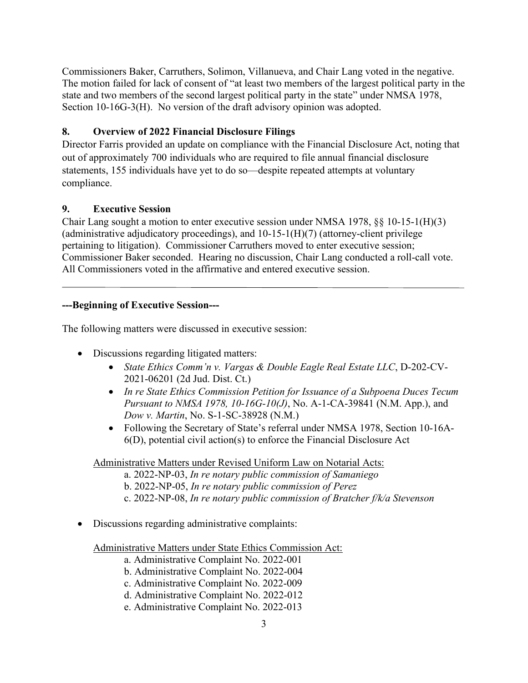Commissioners Baker, Carruthers, Solimon, Villanueva, and Chair Lang voted in the negative. The motion failed for lack of consent of "at least two members of the largest political party in the state and two members of the second largest political party in the state" under NMSA 1978, Section 10-16G-3(H). No version of the draft advisory opinion was adopted.

# **8. Overview of 2022 Financial Disclosure Filings**

Director Farris provided an update on compliance with the Financial Disclosure Act, noting that out of approximately 700 individuals who are required to file annual financial disclosure statements, 155 individuals have yet to do so—despite repeated attempts at voluntary compliance.

# **9. Executive Session**

Chair Lang sought a motion to enter executive session under NMSA 1978, §§ 10-15-1(H)(3) (administrative adjudicatory proceedings), and  $10-15-1(H)(7)$  (attorney-client privilege pertaining to litigation). Commissioner Carruthers moved to enter executive session; Commissioner Baker seconded. Hearing no discussion, Chair Lang conducted a roll-call vote. All Commissioners voted in the affirmative and entered executive session.

# **---Beginning of Executive Session---**

The following matters were discussed in executive session:

- Discussions regarding litigated matters:
	- *State Ethics Comm'n v. Vargas & Double Eagle Real Estate LLC*, D-202-CV-2021-06201 (2d Jud. Dist. Ct.)
	- *In re State Ethics Commission Petition for Issuance of a Subpoena Duces Tecum Pursuant to NMSA 1978, 10-16G-10(J)*, No. A-1-CA-39841 (N.M. App.), and *Dow v. Martin*, No. S-1-SC-38928 (N.M.)
	- Following the Secretary of State's referral under NMSA 1978, Section 10-16A-6(D), potential civil action(s) to enforce the Financial Disclosure Act

Administrative Matters under Revised Uniform Law on Notarial Acts:

- a. 2022-NP-03, *In re notary public commission of Samaniego*
- b. 2022-NP-05, *In re notary public commission of Perez*
- c. 2022-NP-08, *In re notary public commission of Bratcher f/k/a Stevenson*
- Discussions regarding administrative complaints:

Administrative Matters under State Ethics Commission Act:

- a. Administrative Complaint No. 2022-001
- b. Administrative Complaint No. 2022-004
- c. Administrative Complaint No. 2022-009
- d. Administrative Complaint No. 2022-012
- e. Administrative Complaint No. 2022-013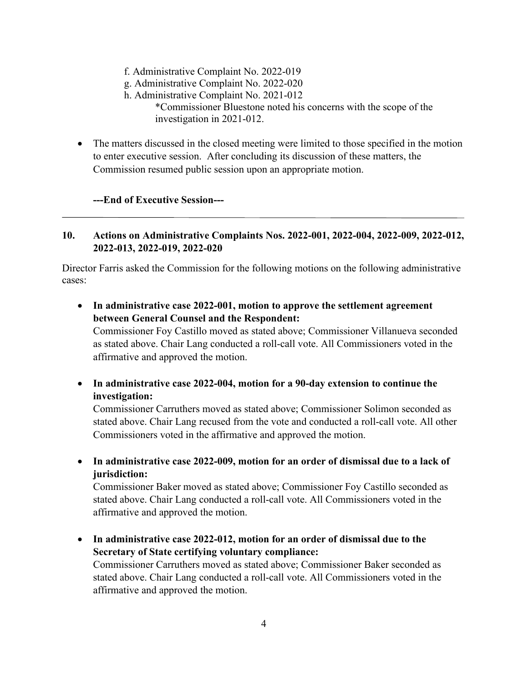- f. Administrative Complaint No. 2022-019
- g. Administrative Complaint No. 2022-020
- h. Administrative Complaint No. 2021-012

 \*Commissioner Bluestone noted his concerns with the scope of the investigation in 2021-012.

• The matters discussed in the closed meeting were limited to those specified in the motion to enter executive session. After concluding its discussion of these matters, the Commission resumed public session upon an appropriate motion.

# **---End of Executive Session---**

# **10. Actions on Administrative Complaints Nos. 2022-001, 2022-004, 2022-009, 2022-012, 2022-013, 2022-019, 2022-020**

Director Farris asked the Commission for the following motions on the following administrative cases:

• **In administrative case 2022-001, motion to approve the settlement agreement between General Counsel and the Respondent:**

Commissioner Foy Castillo moved as stated above; Commissioner Villanueva seconded as stated above. Chair Lang conducted a roll-call vote. All Commissioners voted in the affirmative and approved the motion.

• **In administrative case 2022-004, motion for a 90-day extension to continue the investigation:** 

Commissioner Carruthers moved as stated above; Commissioner Solimon seconded as stated above. Chair Lang recused from the vote and conducted a roll-call vote. All other Commissioners voted in the affirmative and approved the motion.

• **In administrative case 2022-009, motion for an order of dismissal due to a lack of jurisdiction:**

Commissioner Baker moved as stated above; Commissioner Foy Castillo seconded as stated above. Chair Lang conducted a roll-call vote. All Commissioners voted in the affirmative and approved the motion.

• **In administrative case 2022-012, motion for an order of dismissal due to the Secretary of State certifying voluntary compliance:**  Commissioner Carruthers moved as stated above; Commissioner Baker seconded as

stated above. Chair Lang conducted a roll-call vote. All Commissioners voted in the affirmative and approved the motion.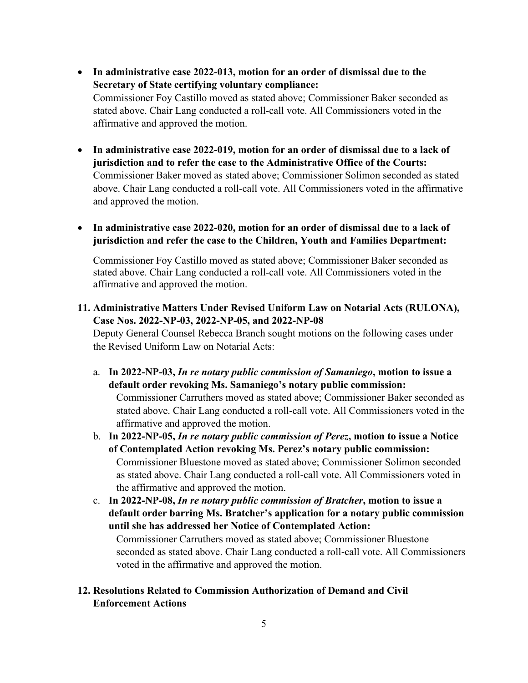- **In administrative case 2022-013, motion for an order of dismissal due to the Secretary of State certifying voluntary compliance:** Commissioner Foy Castillo moved as stated above; Commissioner Baker seconded as stated above. Chair Lang conducted a roll-call vote. All Commissioners voted in the affirmative and approved the motion.
- **In administrative case 2022-019, motion for an order of dismissal due to a lack of jurisdiction and to refer the case to the Administrative Office of the Courts:** Commissioner Baker moved as stated above; Commissioner Solimon seconded as stated above. Chair Lang conducted a roll-call vote. All Commissioners voted in the affirmative and approved the motion.
- **In administrative case 2022-020, motion for an order of dismissal due to a lack of jurisdiction and refer the case to the Children, Youth and Families Department:**

Commissioner Foy Castillo moved as stated above; Commissioner Baker seconded as stated above. Chair Lang conducted a roll-call vote. All Commissioners voted in the affirmative and approved the motion.

**11. Administrative Matters Under Revised Uniform Law on Notarial Acts (RULONA), Case Nos. 2022-NP-03, 2022-NP-05, and 2022-NP-08**

Deputy General Counsel Rebecca Branch sought motions on the following cases under the Revised Uniform Law on Notarial Acts:

a. **In 2022-NP-03,** *In re notary public commission of Samaniego***, motion to issue a default order revoking Ms. Samaniego's notary public commission:**

Commissioner Carruthers moved as stated above; Commissioner Baker seconded as stated above. Chair Lang conducted a roll-call vote. All Commissioners voted in the affirmative and approved the motion.

b. **In 2022-NP-05,** *In re notary public commission of Perez***, motion to issue a Notice of Contemplated Action revoking Ms. Perez's notary public commission:**  Commissioner Bluestone moved as stated above; Commissioner Solimon seconded as stated above. Chair Lang conducted a roll-call vote. All Commissioners voted in the affirmative and approved the motion.

c. **In 2022-NP-08,** *In re notary public commission of Bratcher***, motion to issue a default order barring Ms. Bratcher's application for a notary public commission until she has addressed her Notice of Contemplated Action:**

Commissioner Carruthers moved as stated above; Commissioner Bluestone seconded as stated above. Chair Lang conducted a roll-call vote. All Commissioners voted in the affirmative and approved the motion.

**12. Resolutions Related to Commission Authorization of Demand and Civil Enforcement Actions**